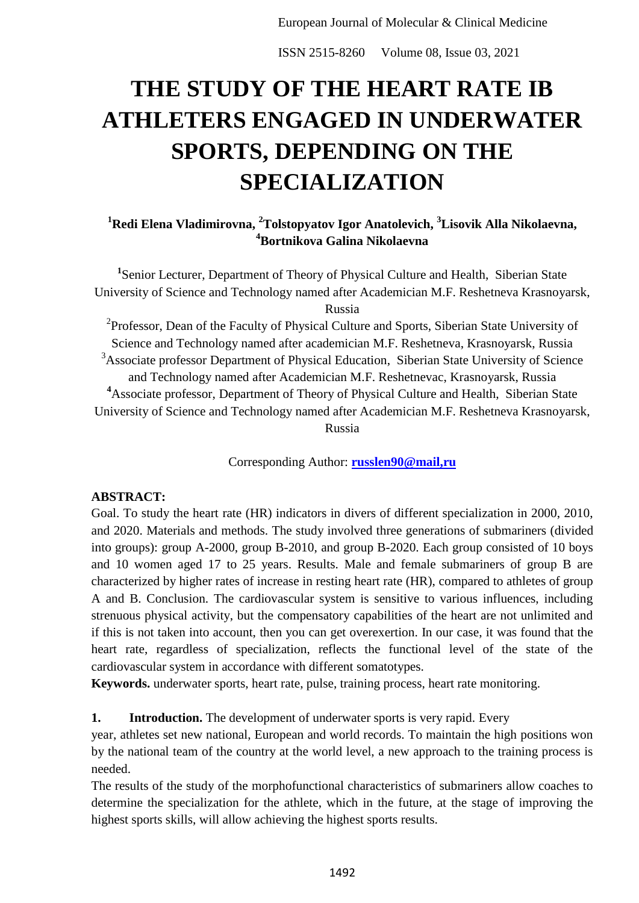# **THE STUDY OF THE HEART RATE IB ATHLETERS ENGAGED IN UNDERWATER SPORTS, DEPENDING ON THE SPECIALIZATION**

## **<sup>1</sup>Redi Elena Vladimirovna, <sup>2</sup>Tolstopyatov Igor Anatolevich, <sup>3</sup>Lisovik Alla Nikolaevna, <sup>4</sup>Bortnikova Galina Nikolaevna**

<sup>1</sup>Senior Lecturer, Department of Theory of Physical Culture and Health, Siberian State University of Science and Technology named after Academician M.F. Reshetneva Krasnoyarsk, Russia

<sup>2</sup>Professor, Dean of the Faculty of Physical Culture and Sports, Siberian State University of Science and Technology named after academician M.F. Reshetneva, Krasnoyarsk, Russia <sup>3</sup>Associate professor Department of Physical Education, Siberian State University of Science and Technology named after Academician M.F. Reshetnevac, Krasnoyarsk, Russia **<sup>4</sup>**Associate professor, Department of Theory of Physical Culture and Health, Siberian State University of Science and Technology named after Academician M.F. Reshetneva Krasnoyarsk, Russia

Corresponding Author: **[russlen90@mail,ru](mailto:russlen90@mail.ru)**

### **ABSTRACT:**

Goal. To study the heart rate (HR) indicators in divers of different specialization in 2000, 2010, and 2020. Materials and methods. The study involved three generations of submariners (divided into groups): group A-2000, group B-2010, and group B-2020. Each group consisted of 10 boys and 10 women aged 17 to 25 years. Results. Male and female submariners of group B are characterized by higher rates of increase in resting heart rate (HR), compared to athletes of group A and B. Conclusion. The cardiovascular system is sensitive to various influences, including strenuous physical activity, but the compensatory capabilities of the heart are not unlimited and if this is not taken into account, then you can get overexertion. In our case, it was found that the heart rate, regardless of specialization, reflects the functional level of the state of the cardiovascular system in accordance with different somatotypes.

**Keywords.** underwater sports, heart rate, pulse, training process, heart rate monitoring.

### **1. Introduction.** The development of underwater sports is very rapid. Every

year, athletes set new national, European and world records. To maintain the high positions won by the national team of the country at the world level, a new approach to the training process is needed.

The results of the study of the morphofunctional characteristics of submariners allow coaches to determine the specialization for the athlete, which in the future, at the stage of improving the highest sports skills, will allow achieving the highest sports results.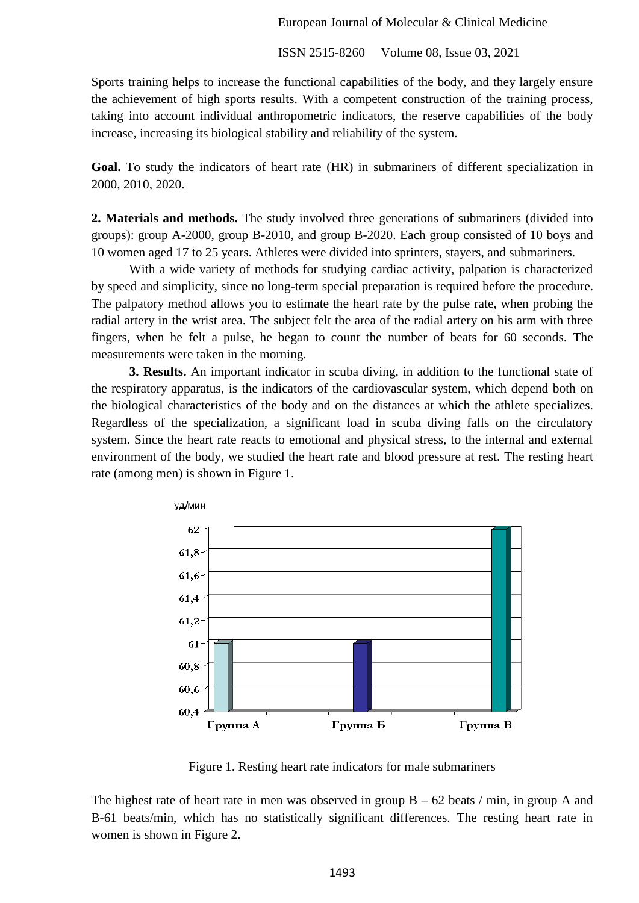European Journal of Molecular & Clinical Medicine

ISSN 2515-8260 Volume 08, Issue 03, 2021

Sports training helps to increase the functional capabilities of the body, and they largely ensure the achievement of high sports results. With a competent construction of the training process, taking into account individual anthropometric indicators, the reserve capabilities of the body increase, increasing its biological stability and reliability of the system.

**Goal.** To study the indicators of heart rate (HR) in submariners of different specialization in 2000, 2010, 2020.

**2. Materials and methods.** The study involved three generations of submariners (divided into groups): group A-2000, group B-2010, and group B-2020. Each group consisted of 10 boys and 10 women aged 17 to 25 years. Athletes were divided into sprinters, stayers, and submariners.

With a wide variety of methods for studying cardiac activity, palpation is characterized by speed and simplicity, since no long-term special preparation is required before the procedure. The palpatory method allows you to estimate the heart rate by the pulse rate, when probing the radial artery in the wrist area. The subject felt the area of the radial artery on his arm with three fingers, when he felt a pulse, he began to count the number of beats for 60 seconds. The measurements were taken in the morning.

**3. Results.** An important indicator in scuba diving, in addition to the functional state of the respiratory apparatus, is the indicators of the cardiovascular system, which depend both on the biological characteristics of the body and on the distances at which the athlete specializes. Regardless of the specialization, a significant load in scuba diving falls on the circulatory system. Since the heart rate reacts to emotional and physical stress, to the internal and external environment of the body, we studied the heart rate and blood pressure at rest. The resting heart rate (among men) is shown in Figure 1.



Figure 1. Resting heart rate indicators for male submariners

The highest rate of heart rate in men was observed in group  $B - 62$  beats / min, in group A and B-61 beats/min, which has no statistically significant differences. The resting heart rate in women is shown in Figure 2.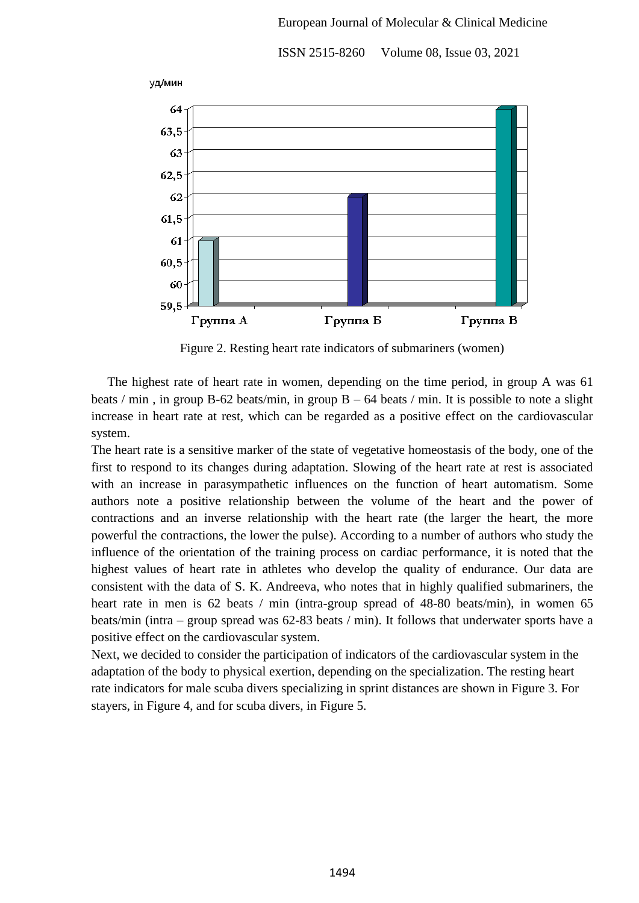

Figure 2. Resting heart rate indicators of submariners (women)

 The highest rate of heart rate in women, depending on the time period, in group A was 61 beats / min, in group B-62 beats/min, in group  $B - 64$  beats / min. It is possible to note a slight increase in heart rate at rest, which can be regarded as a positive effect on the cardiovascular system.

The heart rate is a sensitive marker of the state of vegetative homeostasis of the body, one of the first to respond to its changes during adaptation. Slowing of the heart rate at rest is associated with an increase in parasympathetic influences on the function of heart automatism. Some authors note a positive relationship between the volume of the heart and the power of contractions and an inverse relationship with the heart rate (the larger the heart, the more powerful the contractions, the lower the pulse). According to a number of authors who study the influence of the orientation of the training process on cardiac performance, it is noted that the highest values of heart rate in athletes who develop the quality of endurance. Our data are consistent with the data of S. K. Andreeva, who notes that in highly qualified submariners, the heart rate in men is 62 beats / min (intra-group spread of 48-80 beats/min), in women 65 beats/min (intra – group spread was 62-83 beats / min). It follows that underwater sports have a positive effect on the cardiovascular system.

Next, we decided to consider the participation of indicators of the cardiovascular system in the adaptation of the body to physical exertion, depending on the specialization. The resting heart rate indicators for male scuba divers specializing in sprint distances are shown in Figure 3. For stayers, in Figure 4, and for scuba divers, in Figure 5.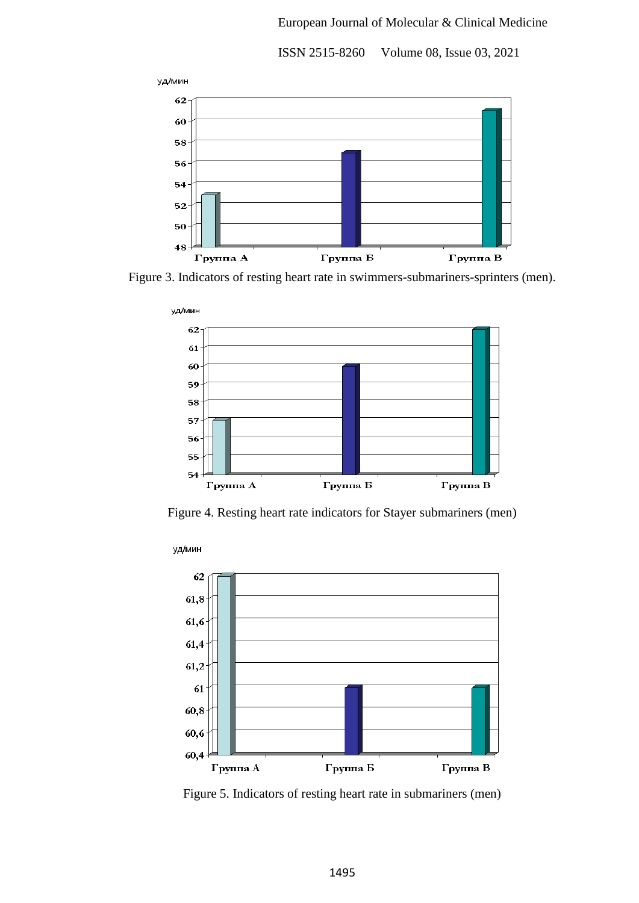#### European Journal of Molecular & Clinical Medicine

уд/мин  $62$ 60 58 56 54  $52$ 50  $48$ Группа Б Группа В Группа А

ISSN 2515-8260 Volume 08, Issue 03, 2021





Figure 4. Resting heart rate indicators for Stayer submariners (men)



Figure 5. Indicators of resting heart rate in submariners (men)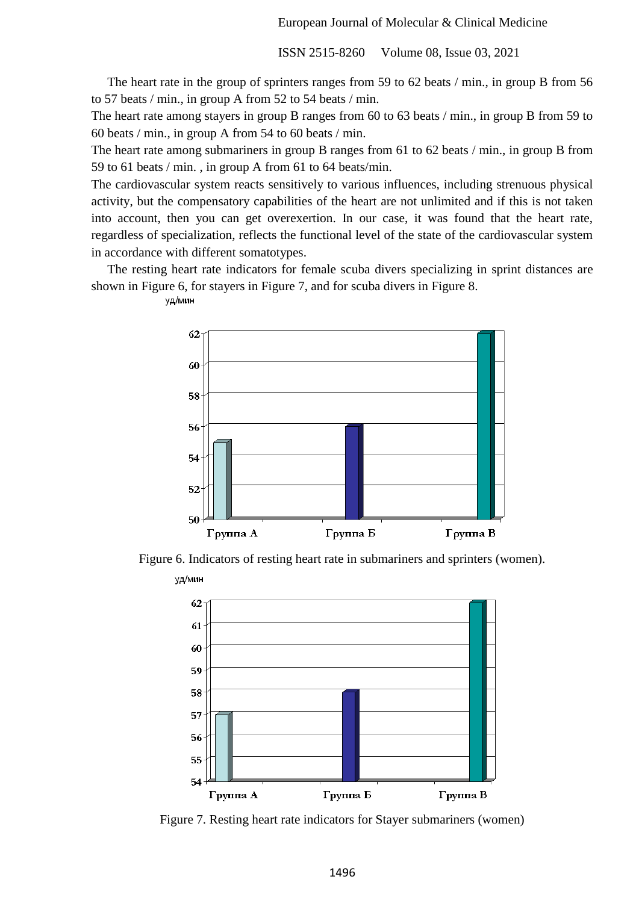The heart rate in the group of sprinters ranges from 59 to 62 beats / min., in group B from 56 to 57 beats / min., in group A from 52 to 54 beats / min.

The heart rate among stayers in group B ranges from 60 to 63 beats / min., in group B from 59 to 60 beats / min., in group A from 54 to 60 beats / min.

The heart rate among submariners in group B ranges from 61 to 62 beats / min., in group B from 59 to 61 beats / min. , in group A from 61 to 64 beats/min.

The cardiovascular system reacts sensitively to various influences, including strenuous physical activity, but the compensatory capabilities of the heart are not unlimited and if this is not taken into account, then you can get overexertion. In our case, it was found that the heart rate, regardless of specialization, reflects the functional level of the state of the cardiovascular system in accordance with different somatotypes.

 The resting heart rate indicators for female scuba divers specializing in sprint distances are shown in Figure 6, for stayers in Figure 7, and for scuba divers in Figure 8.



уд/мин

Figure 6. Indicators of resting heart rate in submariners and sprinters (women). уд/мин



Figure 7. Resting heart rate indicators for Stayer submariners (women)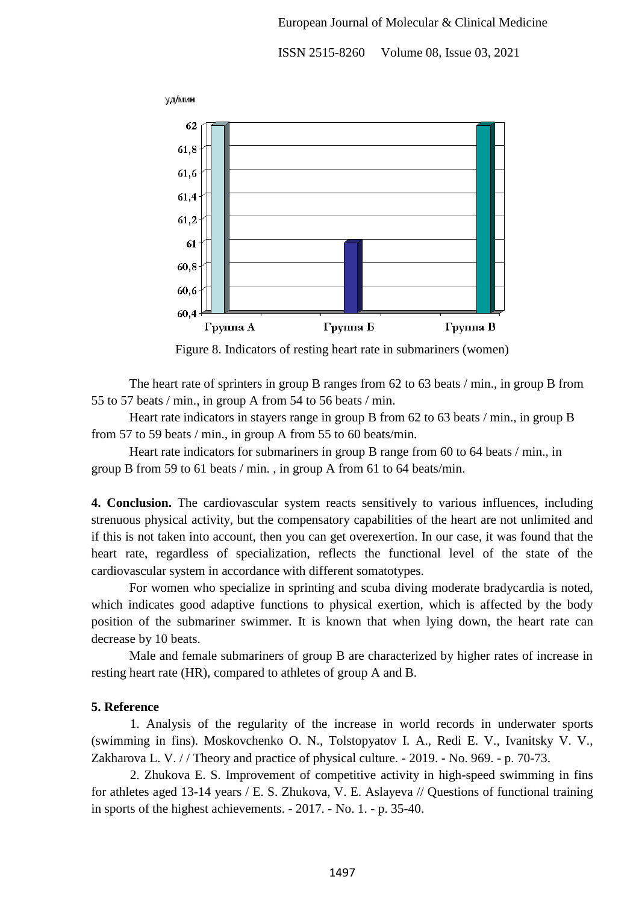#### European Journal of Molecular & Clinical Medicine

ISSN 2515-8260 Volume 08, Issue 03, 2021



Figure 8. Indicators of resting heart rate in submariners (women)

The heart rate of sprinters in group B ranges from 62 to 63 beats / min., in group B from 55 to 57 beats / min., in group A from 54 to 56 beats / min.

Heart rate indicators in stayers range in group B from 62 to 63 beats / min., in group B from 57 to 59 beats / min., in group A from 55 to 60 beats/min.

Heart rate indicators for submariners in group B range from 60 to 64 beats / min., in group B from 59 to 61 beats / min. , in group A from 61 to 64 beats/min.

**4. Conclusion.** The cardiovascular system reacts sensitively to various influences, including strenuous physical activity, but the compensatory capabilities of the heart are not unlimited and if this is not taken into account, then you can get overexertion. In our case, it was found that the heart rate, regardless of specialization, reflects the functional level of the state of the cardiovascular system in accordance with different somatotypes.

For women who specialize in sprinting and scuba diving moderate bradycardia is noted, which indicates good adaptive functions to physical exertion, which is affected by the body position of the submariner swimmer. It is known that when lying down, the heart rate can decrease by 10 beats.

Male and female submariners of group B are characterized by higher rates of increase in resting heart rate (HR), compared to athletes of group A and B.

#### **5. Reference**

1. Analysis of the regularity of the increase in world records in underwater sports (swimming in fins). Moskovchenko O. N., Tolstopyatov I. A., Redi E. V., Ivanitsky V. V., Zakharova L. V. / / Theory and practice of physical culture. - 2019. - No. 969. - p. 70-73.

2. Zhukova E. S. Improvement of competitive activity in high-speed swimming in fins for athletes aged 13-14 years / E. S. Zhukova, V. E. Aslayeva // Questions of functional training in sports of the highest achievements. - 2017. - No. 1. - p. 35-40.